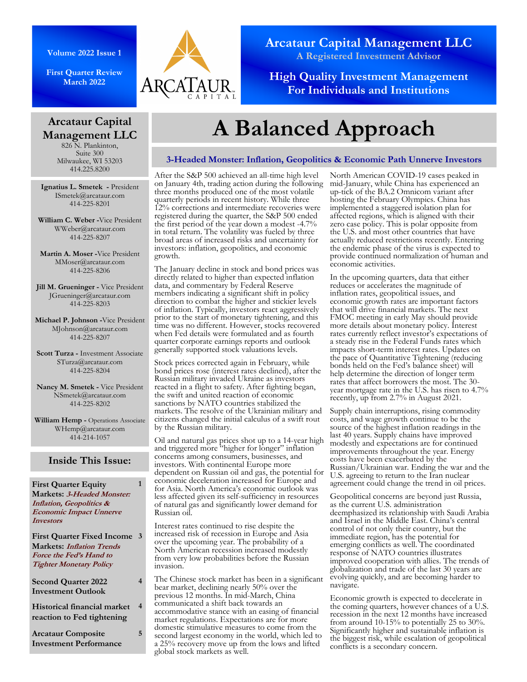**First Quarter Review March 2022**

**Arcataur Capital Management LLC**  826 N. Plankinton, Suite 300 Milwaukee, WI 53203 414.225.8200



**Arcataur Capital Management LLC A Registered Investment Advisor** 

**High Quality Investment Management For Individuals and Institutions** 

# **A Balanced Approach**

## **3-Headed Monster: Inflation, Geopolitics & Economic Path Unnerve Investors**

**Ignatius L. Smetek -** President ISmetek@arcataur.com 414-225-8201

**William C. Weber -**Vice President WWeber@arcataur.com 414-225-8207

**Martin A. Moser -**Vice President MMoser@arcataur.com 414-225-8206

**Jill M. Grueninger - Vice President** JGrueninger@arcataur.com 414-225-8203

**Michael P. Johnson -**Vice President MJohnson@arcataur.com 414-225-8207

**Scott Turza -** Investment Associate STurza@arcataur.com 414-225-8204

**Nancy M. Smetek -** Vice President NSmetek@arcataur.com 414-225-8202

**William Hemp -** Operations Associate WHemp@arcataur.com 414-214-1057

## **Inside This Issue:**

**1** 

**4** 

**5** 

**4** 

**First Quarter Equity Markets: 3-Headed Monster: Inflation, Geopolitics & Economic Impact Unnerve Investors**

**First Quarter Fixed Income 3 Markets: Inflation Trends Force the Fed's Hand to Tighter Monetary Policy**

**Second Quarter 2022 Investment Outlook** 

**Historical financial market reaction to Fed tightening** 

**Arcataur Composite Investment Performance** 

#### After the S&P 500 achieved an all-time high level on January 4th, trading action during the following three months produced one of the most volatile quarterly periods in recent history. While three 12% corrections and intermediate recoveries were registered during the quarter, the S&P 500 ended the first period of the year down a modest -4.7% in total return. The volatility was fueled by three broad areas of increased risks and uncertainty for investors: inflation, geopolitics, and economic growth.

The January decline in stock and bond prices was directly related to higher than expected inflation data, and commentary by Federal Reserve members indicating a significant shift in policy direction to combat the higher and stickier levels of inflation. Typically, investors react aggressively prior to the start of monetary tightening, and this time was no different. However, stocks recovered when Fed details were formulated and as fourth quarter corporate earnings reports and outlook generally supported stock valuations levels.

Stock prices corrected again in February, while bond prices rose (interest rates declined), after the Russian military invaded Ukraine as investors reacted in a flight to safety. After fighting began, the swift and united reaction of economic sanctions by NATO countries stabilized the markets. The resolve of the Ukrainian military and citizens changed the initial calculus of a swift rout by the Russian military.

Oil and natural gas prices shot up to a 14-year high and triggered more "higher for longer" inflation concerns among consumers, businesses, and investors. With continental Europe more dependent on Russian oil and gas, the potential for economic deceleration increased for Europe and for Asia. North America's economic outlook was less affected given its self-sufficiency in resources of natural gas and significantly lower demand for Russian oil.

Interest rates continued to rise despite the increased risk of recession in Europe and Asia over the upcoming year. The probability of a North American recession increased modestly from very low probabilities before the Russian invasion.

The Chinese stock market has been in a significant bear market, declining nearly 50% over the previous 12 months. In mid-March, China communicated a shift back towards an accommodative stance with an easing of financial market regulations. Expectations are for more domestic stimulative measures to come from the second largest economy in the world, which led to a 25% recovery move up from the lows and lifted global stock markets as well.

North American COVID-19 cases peaked in mid-January, while China has experienced an up-tick of the BA.2 Omnicom variant after hosting the February Olympics. China has implemented a staggered isolation plan for affected regions, which is aligned with their zero case policy. This is polar opposite from the U.S. and most other countries that have actually reduced restrictions recently. Entering the endemic phase of the virus is expected to provide continued normalization of human and economic activities.

In the upcoming quarters, data that either reduces or accelerates the magnitude of inflation rates, geopolitical issues, and economic growth rates are important factors that will drive financial markets. The next FMOC meeting in early May should provide more details about monetary policy. Interest rates currently reflect investor's expectations of a steady rise in the Federal Funds rates which impacts short-term interest rates. Updates on the pace of Quantitative Tightening (reducing bonds held on the Fed's balance sheet) will help determine the direction of longer term rates that affect borrowers the most. The 30 year mortgage rate in the U.S. has risen to 4.7% recently, up from 2.7% in August 2021.

Supply chain interruptions, rising commodity costs, and wage growth continue to be the source of the highest inflation readings in the last 40 years. Supply chains have improved modestly and expectations are for continued improvements throughout the year. Energy costs have been exacerbated by the Russian/Ukrainian war. Ending the war and the U.S. agreeing to return to the Iran nuclear agreement could change the trend in oil prices.

Geopolitical concerns are beyond just Russia, as the current U.S. administration deemphasized its relationship with Saudi Arabia and Israel in the Middle East. China's central control of not only their country, but the immediate region, has the potential for emerging conflicts as well. The coordinated response of NATO countries illustrates improved cooperation with allies. The trends of globalization and trade of the last 30 years are evolving quickly, and are becoming harder to navigate.

Economic growth is expected to decelerate in the coming quarters, however chances of a U.S. recession in the next 12 months have increased from around 10-15% to potentially 25 to 30%. Significantly higher and sustainable inflation is the biggest risk, while escalation of geopolitical conflicts is a secondary concern.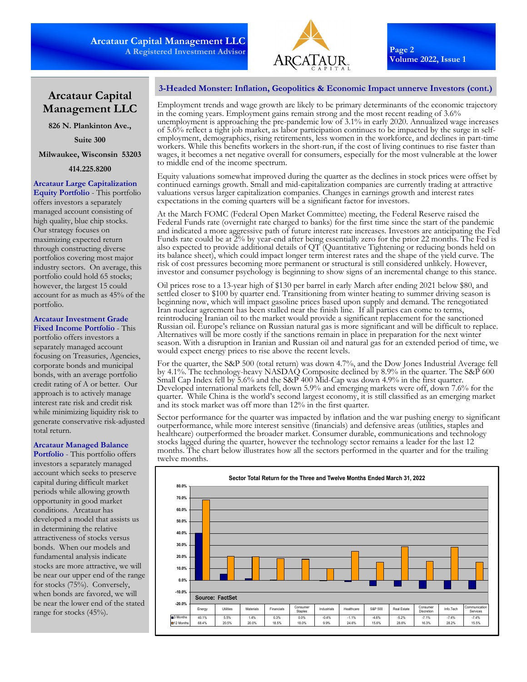

**Page 2 Volume 2022, Issue 1** 

## **Arcataur Capital Management LLC**

**826 N. Plankinton Ave.,** 

**Suite 300** 

#### **Milwaukee, Wisconsin 53203**

**414.225.8200** 

## **Arcataur Large Capitalization**

**Equity Portfolio** - This portfolio offers investors a separately managed account consisting of high quality, blue chip stocks. Our strategy focuses on maximizing expected return through constructing diverse portfolios covering most major industry sectors. On average, this portfolio could hold 65 stocks; however, the largest 15 could account for as much as 45% of the portfolio.

## **Arcataur Investment Grade Fixed Income Portfolio** - This

portfolio offers investors a separately managed account focusing on Treasuries, Agencies, corporate bonds and municipal bonds, with an average portfolio credit rating of A or better. Our approach is to actively manage interest rate risk and credit risk while minimizing liquidity risk to generate conservative risk-adjusted total return.

## **Arcataur Managed Balance**

**Portfolio** - This portfolio offers investors a separately managed account which seeks to preserve capital during difficult market periods while allowing growth opportunity in good market conditions. Arcataur has developed a model that assists us in determining the relative attractiveness of stocks versus bonds. When our models and fundamental analysis indicate stocks are more attractive, we will be near our upper end of the range for stocks (75%). Conversely, when bonds are favored, we will be near the lower end of the stated range for stocks (45%).

## **3-Headed Monster: Inflation, Geopolitics & Economic Impact unnerve Investors (cont.)**

Employment trends and wage growth are likely to be primary determinants of the economic trajectory in the coming years. Employment gains remain strong and the most recent reading of 3.6% unemployment is approaching the pre-pandemic low of 3.1% in early 2020. Annualized wage increases of 5.6% reflect a tight job market, as labor participation continues to be impacted by the surge in selfemployment, demographics, rising retirements, less women in the workforce, and declines in part-time workers. While this benefits workers in the short-run, if the cost of living continues to rise faster than wages, it becomes a net negative overall for consumers, especially for the most vulnerable at the lower to middle end of the income spectrum.

Equity valuations somewhat improved during the quarter as the declines in stock prices were offset by continued earnings growth. Small and mid-capitalization companies are currently trading at attractive valuations versus larger capitalization companies. Changes in earnings growth and interest rates expectations in the coming quarters will be a significant factor for investors.

At the March FOMC (Federal Open Market Committee) meeting, the Federal Reserve raised the Federal Funds rate (overnight rate charged to banks) for the first time since the start of the pandemic and indicated a more aggressive path of future interest rate increases. Investors are anticipating the Fed Funds rate could be at  $2\%$  by year-end after being essentially zero for the prior 22 months. The Fed is also expected to provide additional details of QT (Quantitative Tightening or reducing bonds held on its balance sheet), which could impact longer term interest rates and the shape of the yield curve. The risk of cost pressures becoming more permanent or structural is still considered unlikely. However, investor and consumer psychology is beginning to show signs of an incremental change to this stance.

Oil prices rose to a 13-year high of \$130 per barrel in early March after ending 2021 below \$80, and settled closer to \$100 by quarter end. Transitioning from winter heating to summer driving season is beginning now, which will impact gasoline prices based upon supply and demand. The renegotiated Iran nuclear agreement has been stalled near the finish line. If all parties can come to terms, reintroducing Iranian oil to the market would provide a significant replacement for the sanctioned Russian oil. Europe's reliance on Russian natural gas is more significant and will be difficult to replace. Alternatives will be more costly if the sanctions remain in place in preparation for the next winter season. With a disruption in Iranian and Russian oil and natural gas for an extended period of time, we would expect energy prices to rise above the recent levels.

For the quarter, the S&P 500 (total return) was down 4.7%, and the Dow Jones Industrial Average fell by 4.1%. The technology-heavy NASDAQ Composite declined by 8.9% in the quarter. The S&P 600 Small Cap Index fell by 5.6% and the S&P 400 Mid-Cap was down 4.9% in the first quarter. Developed international markets fell, down 5.9% and emerging markets were off, down 7.6% for the quarter. While China is the world's second largest economy, it is still classified as an emerging market and its stock market was off more than 12% in the first quarter.

Sector performance for the quarter was impacted by inflation and the war pushing energy to significant outperformance, while more interest sensitive (financials) and defensive areas (utilities, staples and healthcare) outperformed the broader market. Consumer durable, communications and technology stocks lagged during the quarter, however the technology sector remains a leader for the last 12 months. The chart below illustrates how all the sectors performed in the quarter and for the trailing twelve months.

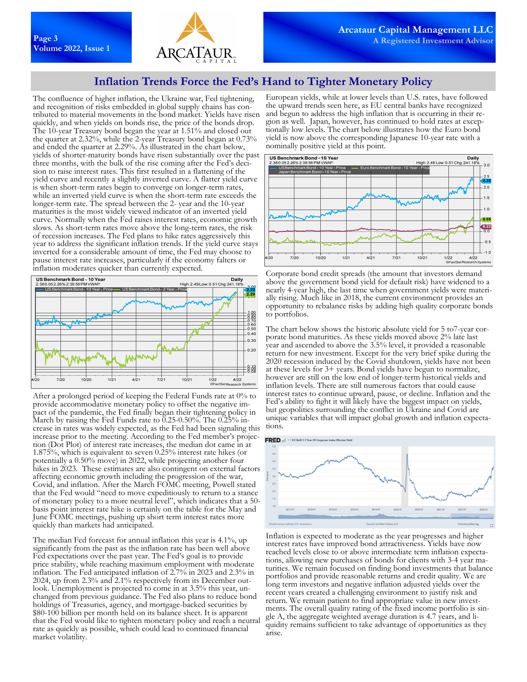

## **Inflation Trends Force the Fed's Hand to Tighter Monetary Policy**

The confluence of higher inflation, the Ukraine war, Fed tightening, and recognition of risks embedded in global supply chains has contributed to material movements in the bond market. Yields have risen quickly, and when yields on bonds rise, the price of the bonds drop. The 10-year Treasury bond began the year at 1.51% and closed out the quarter at 2.32%, while the 2-year Treasury bond began at 0.73% and ended the quarter at 2.29%. As illustrated in the chart below, yields of shorter-maturity bonds have risen substantially over the past three months, with the bulk of the rise coming after the Fed's decision to raise interest rates. This first resulted in a flattening of the yield curve and recently a slightly inverted curve. A flatter yield curve is when short-term rates begin to converge on longer-term rates, while an inverted yield curve is when the short-term rate exceeds the longer-term rate. The spread between the 2- year and the 10-year maturities is the most widely viewed indicator of an inverted yield curve. Normally when the Fed raises interest rates, economic growth slows. As short-term rates move above the long-term rates, the risk of recession increases. The Fed plans to hike rates aggressively this year to address the significant inflation trends. If the yield curve stays inverted for a considerable amount of time, the Fed may choose to pause interest rate increases, particularly if the economy falters or inflation moderates quicker than currently expected.



After a prolonged period of keeping the Federal Funds rate at 0% to provide accommodative monetary policy to offset the negative impact of the pandemic, the Fed finally began their tightening policy in March by raising the Fed Funds rate to  $0.25$ -0.50%. The  $0.25\%$  increase in rates was widely expected, as the Fed had been signaling this increase prior to the meeting. According to the Fed member's projection (Dot Plot) of interest rate increases, the median dot came in at 1.875%, which is equivalent to seven 0.25% interest rate hikes (or potentially a 0.50% move) in 2022, while projecting another four hikes in 2023. These estimates are also contingent on external factors affecting economic growth including the progression of the war, Covid, and inflation. After the March FOMC meeting, Powell stated that the Fed would "need to move expeditiously to return to a stance of monetary policy to a more neutral level", which indicates that a 50 basis point interest rate hike is certainly on the table for the May and June FOMC meetings, pushing up short term interest rates more quickly than markets had anticipated.

The median Fed forecast for annual inflation this year is 4.1%, up significantly from the past as the inflation rate has been well above Fed expectations over the past year. The Fed's goal is to provide price stability, while reaching maximum employment with moderate inflation. The Fed anticipated inflation of 2.7% in 2023 and 2.3% in 2024, up from 2.3% and 2.1% respectively from its December outlook. Unemployment is projected to come in at 3.5% this year, unchanged from previous guidance. The Fed also plans to reduce bond holdings of Treasuries, agency, and mortgage-backed securities by \$80-100 billion per month held on its balance sheet. It is apparent that the Fed would like to tighten monetary policy and reach a neutral rate as quickly as possible, which could lead to continued financial market volatility.

European yields, while at lower levels than U.S. rates, have followed the upward trends seen here, as EU central banks have recognized and begun to address the high inflation that is occurring in their region as well. Japan, however, has continued to hold rates at exceptionally low levels. The chart below illustrates how the Euro bond yield is now above the corresponding Japanese 10-year rate with a nominally positive yield at this point.



Corporate bond credit spreads (the amount that investors demand above the government bond yield for default risk) have widened to a nearly 4-year high, the last time when government yields were materially rising. Much like in 2018, the current environment provides an opportunity to rebalance risks by adding high quality corporate bonds to portfolios.

The chart below shows the historic absolute yield for 5 to7-year corporate bond maturities. As these yields moved above 2% late last year and ascended to above the 3.5% level, it provided a reasonable return for new investment. Except for the very brief spike during the 2020 recession induced by the Covid shutdown, yields have not been at these levels for 3+ years. Bond yields have begun to normalize, however are still on the low end of longer-term historical yields and inflation levels. There are still numerous factors that could cause interest rates to continue upward, pause, or decline. Inflation and the Fed's ability to fight it will likely have the biggest impact on yields, but geopolitics surrounding the conflict in Ukraine and Covid are unique variables that will impact global growth and inflation expectations.



Inflation is expected to moderate as the year progresses and higher interest rates have improved bond attractiveness. Yields have now reached levels close to or above intermediate term inflation expectations, allowing new purchases of bonds for clients with 3-4 year maturities. We remain focused on finding bond investments that balance portfolios and provide reasonable returns and credit quality. We are long term investors and negative inflation adjusted yields over the recent years created a challenging environment to justify risk and return. We remain patient to find appropriate value in new investments. The overall quality rating of the fixed income portfolio is single A, the aggregate weighted average duration is 4.7 years, and liquidity remains sufficient to take advantage of opportunities as they arise.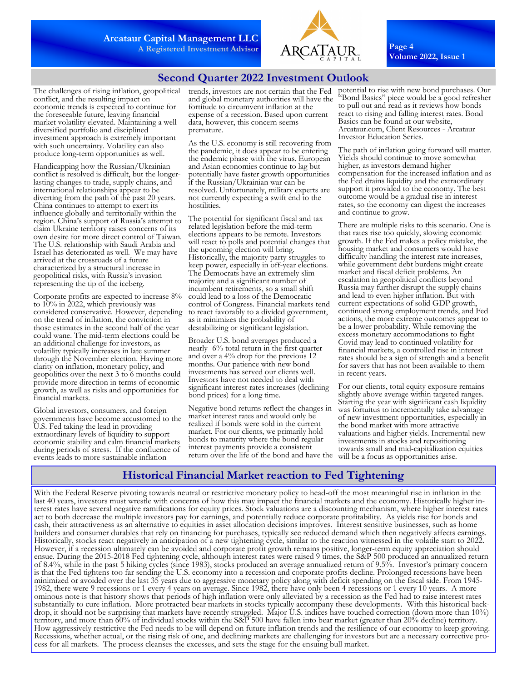

**Page 4 Volume 2022, Issue 1** 

## **Second Quarter 2022 Investment Outlook**

The challenges of rising inflation, geopolitical conflict, and the resulting impact on economic trends is expected to continue for the foreseeable future, leaving financial market volatility elevated. Maintaining a well diversified portfolio and disciplined investment approach is extremely important with such uncertainty. Volatility can also produce long-term opportunities as well.

Handicapping how the Russian/Ukrainian conflict is resolved is difficult, but the longerlasting changes to trade, supply chains, and international relationships appear to be diverting from the path of the past 20 years. China continues to attempt to exert its influence globally and territorially within the region. China's support of Russia's attempt to claim Ukraine territory raises concerns of its own desire for more direct control of Taiwan. The U.S. relationship with Saudi Arabia and Israel has deteriorated as well. We may have arrived at the crossroads of a future characterized by a structural increase in geopolitical risks, with Russia's invasion representing the tip of the iceberg.

Corporate profits are expected to increase 8% to  $10\%$  in 2022, which previously was considered conservative. However, depending on the trend of inflation, the conviction in those estimates in the second half of the year could wane. The mid-term elections could be an additional challenge for investors, as volatility typically increases in late summer through the November election. Having more clarity on inflation, monetary policy, and geopolitics over the next 3 to 6 months could provide more direction in terms of economic growth, as well as risks and opportunities for financial markets.

Global investors, consumers, and foreign governments have become accustomed to the U.S. Fed taking the lead in providing extraordinary levels of liquidity to support economic stability and calm financial markets during periods of stress. If the confluence of events leads to more sustainable inflation

trends, investors are not certain that the Fed and global monetary authorities will have the fortitude to circumvent inflation at the expense of a recession. Based upon current data, however, this concern seems premature.

As the U.S. economy is still recovering from the pandemic, it does appear to be entering the endemic phase with the virus. European and Asian economies continue to lag but potentially have faster growth opportunities if the Russian/Ukrainian war can be resolved. Unfortunately, military experts are not currently expecting a swift end to the hostilities.

The potential for significant fiscal and tax related legislation before the mid-term elections appears to be remote. Investors will react to polls and potential changes that the upcoming election will bring. Historically, the majority party struggles to keep power, especially in off-year elections. The Democrats have an extremely slim majority and a significant number of incumbent retirements, so a small shift could lead to a loss of the Democratic control of Congress. Financial markets tend to react favorably to a divided government, as it minimizes the probability of destabilizing or significant legislation.

Broader U.S. bond averages produced a nearly -6% total return in the first quarter and over a 4% drop for the previous 12 months. Our patience with new bond investments has served our clients well. Investors have not needed to deal with significant interest rates increases (declining bond prices) for a long time.

Negative bond returns reflect the changes in market interest rates and would only be realized if bonds were sold in the current market. For our clients, we primarily hold bonds to maturity where the bond regular interest payments provide a consistent return over the life of the bond and have the

potential to rise with new bond purchases. Our Bond Basics" piece would be a good refresher to pull out and read as it reviews how bonds react to rising and falling interest rates. Bond Basics can be found at our website, Arcataur.com, Client Resources - Arcataur Investor Education Series.

The path of inflation going forward will matter. Yields should continue to move somewhat higher, as investors demand higher compensation for the increased inflation and as the Fed drains liquidity and the extraordinary support it provided to the economy. The best outcome would be a gradual rise in interest rates, so the economy can digest the increases and continue to grow.

There are multiple risks to this scenario. One is that rates rise too quickly, slowing economic growth. If the Fed makes a policy mistake, the housing market and consumers would have difficulty handling the interest rate increases, while government debt burdens might create market and fiscal deficit problems. An escalation in geopolitical conflicts beyond Russia may further disrupt the supply chains and lead to even higher inflation. But with current expectations of solid GDP growth, continued strong employment trends, and Fed actions, the more extreme outcomes appear to be a lower probability. While removing the excess monetary accommodations to fight Covid may lead to continued volatility for financial markets, a controlled rise in interest rates should be a sign of strength and a benefit for savers that has not been available to them in recent years.

For our clients, total equity exposure remains slightly above average within targeted ranges. Starting the year with significant cash liquidity was fortuitus to incrementally take advantage of new investment opportunities, especially in the bond market with more attractive valuations and higher yields. Incremental new investments in stocks and repositioning towards small and mid-capitalization equities will be a focus as opportunities arise.

## **Historical Financial Market reaction to Fed Tightening**

With the Federal Reserve pivoting towards neutral or restrictive monetary policy to head-off the most meaningful rise in inflation in the last 40 years, investors must wrestle with concerns of how this may impact the financial markets and the economy. Historically higher interest rates have several negative ramifications for equity prices. Stock valuations are a discounting mechanism, where higher interest rates act to both decrease the multiple investors pay for earnings, and potentially reduce corporate profitability. As yields rise for bonds and cash, their attractiveness as an alternative to equities in asset allocation decisions improves. Interest sensitive businesses, such as home builders and consumer durables that rely on financing for purchases, typically see reduced demand which then negatively affects earnings. Historically, stocks react negatively in anticipation of a new tightening cycle, similar to the reaction witnessed in the volatile start to 2022. However, if a recession ultimately can be avoided and corporate profit growth remains positive, longer-term equity appreciation should ensue. During the 2015-2018 Fed tightening cycle, although interest rates were raised 9 times, the S&P 500 produced an annualized return of 8.4%, while in the past 5 hiking cycles (since 1983), stocks produced an average annualized return of 9.5%. Investor's primary concern is that the Fed tightens too far sending the U.S. economy into a recession and corporate profits decline. Prolonged recessions have been minimized or avoided over the last 35 years due to aggressive monetary policy along with deficit spending on the fiscal side. From 1945- 1982, there were 9 recessions or 1 every 4 years on average. Since 1982, there have only been 4 recessions or 1 every 10 years. A more ominous note is that history shows that periods of high inflation were only alleviated by a recession as the Fed had to raise interest rates substantially to cure inflation. More protracted bear markets in stocks typically accompany these developments. With this historical backdrop, it should not be surprising that markets have recently struggled. Major U.S. indices have touched correction (down more than 10%) territory, and more than 60% of individual stocks within the S&P 500 have fallen into bear market (greater than 20% decline) territory. How aggressively restrictive the Fed needs to be will depend on future inflation trends and the resilience of our economy to keep growing. Recessions, whether actual, or the rising risk of one, and declining markets are challenging for investors but are a necessary corrective process for all markets. The process cleanses the excesses, and sets the stage for the ensuing bull market.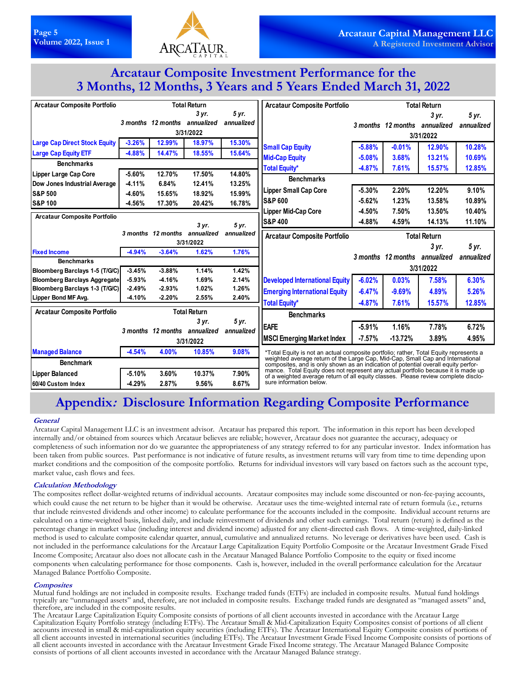

# **Arcataur Composite Investment Performance for the 3 Months, 12 Months, 3 Years and 5 Years Ended March 31, 2022**

| <b>Arcataur Composite Portfolio</b>                                   | <b>Total Return</b>  |                               |                     |                | <b>Arcataur Composite Portfolio</b>                                                                                                                                     | <b>Total Return</b> |                               |                     |            |
|-----------------------------------------------------------------------|----------------------|-------------------------------|---------------------|----------------|-------------------------------------------------------------------------------------------------------------------------------------------------------------------------|---------------------|-------------------------------|---------------------|------------|
|                                                                       |                      |                               | 3 yr.               | 5 yr.          |                                                                                                                                                                         |                     |                               | 3 yr.               | 5 yr.      |
|                                                                       |                      | 3 months 12 months annualized |                     | annualized     |                                                                                                                                                                         |                     | 3 months 12 months annualized |                     | annualized |
|                                                                       | 3/31/2022            |                               |                     |                |                                                                                                                                                                         | 3/31/2022           |                               |                     |            |
| <b>Large Cap Direct Stock Equity</b>                                  | $-3.26%$             | 12.99%                        | 18.97%              | 15.30%         | <b>Small Cap Equity</b>                                                                                                                                                 | $-5.88%$            | $-0.01%$                      | 12.90%              | 10.28%     |
| <b>Large Cap Equity ETF</b>                                           | $-4.88%$             | 14.47%                        | 18.55%              | 15.64%         | <b>Mid-Cap Equity</b>                                                                                                                                                   | $-5.08%$            | 3.68%                         | 13.21%              | 10.69%     |
| <b>Benchmarks</b>                                                     |                      |                               |                     |                | <b>Total Equity*</b>                                                                                                                                                    | $-4.87%$            | 7.61%                         | 15.57%              | 12.85%     |
| Lipper Large Cap Core                                                 | $-5.60%$             | 12.70%                        | 17.50%              | 14.80%         |                                                                                                                                                                         |                     |                               |                     |            |
| Dow Jones Industrial Average                                          | $-4.11%$             | 6.84%                         | 12.41%              | 13.25%         | <b>Benchmarks</b>                                                                                                                                                       |                     |                               |                     |            |
| <b>S&amp;P 500</b>                                                    | $-4.60%$             | 15.65%                        | 18.92%              | 15.99%         | <b>Lipper Small Cap Core</b>                                                                                                                                            | $-5.30%$            | 2.20%                         | 12.20%              | 9.10%      |
| <b>S&amp;P 100</b>                                                    | $-4.56%$             | 17.30%                        | 20.42%              | 16.78%         | <b>S&amp;P 600</b>                                                                                                                                                      | $-5.62%$            | 1.23%                         | 13.58%              | 10.89%     |
|                                                                       |                      |                               |                     |                | <b>Lipper Mid-Cap Core</b>                                                                                                                                              | $-4.50%$            | 7.50%                         | 13.50%              | 10.40%     |
| <b>Arcataur Composite Portfolio</b>                                   |                      |                               | 3 yr.               | 5 yr.          | <b>S&amp;P 400</b>                                                                                                                                                      | $-4.88%$            | 4.59%                         | 14.13%              | 11.10%     |
|                                                                       |                      | 3 months 12 months annualized |                     | annualized     | <b>Arcataur Composite Portfolio</b>                                                                                                                                     |                     |                               | <b>Total Return</b> |            |
|                                                                       | 3/31/2022            |                               |                     |                |                                                                                                                                                                         |                     |                               | 3 yr.               | 5 yr.      |
| <b>Fixed Income</b>                                                   | $-4.94%$             | $-3.64%$                      | 1.62%               | 1.76%          |                                                                                                                                                                         |                     | 3 months 12 months annualized |                     | annualized |
| <b>Benchmarks</b>                                                     |                      |                               |                     |                | 3/31/2022                                                                                                                                                               |                     |                               |                     |            |
| Bloomberg Barclays 1-5 (T/G/C)                                        | $-3.45%$             | $-3.88%$                      | 1.14%               | 1.42%          |                                                                                                                                                                         |                     |                               |                     |            |
| <b>Bloomberg Barclays Aggregate</b><br>Bloomberg Barclays 1-3 (T/G/C) | $-5.93%$<br>$-2.49%$ | $-4.16%$<br>$-2.93%$          | 1.69%<br>1.02%      | 2.14%<br>1.26% | <b>Developed International Equity</b>                                                                                                                                   | $-6.02%$            | 0.03%                         | 7.58%               | 6.30%      |
| Lipper Bond MF Avg.                                                   | $-4.10%$             | $-2.20%$                      | 2.55%               | 2.40%          | <b>Emerging International Equity</b>                                                                                                                                    | $-6.47%$            | $-9.69%$                      | 4.89%               | 5.26%      |
|                                                                       |                      |                               |                     |                | <b>Total Equity*</b>                                                                                                                                                    | $-4.87%$            | 7.61%                         | 15.57%              | 12.85%     |
| <b>Arcataur Composite Portfolio</b>                                   |                      |                               | <b>Total Return</b> |                | <b>Benchmarks</b>                                                                                                                                                       |                     |                               |                     |            |
|                                                                       |                      |                               | 3 yr.               | 5 yr.          | <b>EAFE</b>                                                                                                                                                             | $-5.91%$            | 1.16%                         | 7.78%               | 6.72%      |
|                                                                       |                      | 3 months 12 months annualized |                     | annualized     | <b>MSCI Emerging Market Index</b>                                                                                                                                       | $-7.57%$            | $-13.72%$                     | 3.89%               | 4.95%      |
|                                                                       |                      |                               | 3/31/2022           |                |                                                                                                                                                                         |                     |                               |                     |            |
| <b>Managed Balance</b>                                                | $-4.54%$             | 4.00%                         | 10.85%              | 9.08%          | *Total Equity is not an actual composite portfolio; rather, Total Equity represents a                                                                                   |                     |                               |                     |            |
| <b>Benchmark</b>                                                      |                      |                               |                     |                | weighted average return of the Large Cap, Mid-Cap, Small Cap and International<br>composites, and is only shown as an indication of potential overall equity perfor-    |                     |                               |                     |            |
| <b>Lipper Balanced</b>                                                | $-5.10%$             | 3.60%                         | 10.37%              | 7.90%          | mance. Total Equity does not represent any actual portfolio because it is made up<br>of a weighted average return of all equity classes. Please review complete disclo- |                     |                               |                     |            |
| 60/40 Custom Index                                                    | $-4.29%$             | 2.87%                         | 9.56%               | 8.67%          | sure information below.                                                                                                                                                 |                     |                               |                     |            |

# **Appendix: Disclosure Information Regarding Composite Performance**

#### **General**

Arcataur Capital Management LLC is an investment advisor. Arcataur has prepared this report. The information in this report has been developed internally and/or obtained from sources which Arcataur believes are reliable; however, Arcataur does not guarantee the accuracy, adequacy or completeness of such information nor do we guarantee the appropriateness of any strategy referred to for any particular investor. Index information has been taken from public sources. Past performance is not indicative of future results, as investment returns will vary from time to time depending upon market conditions and the composition of the composite portfolio. Returns for individual investors will vary based on factors such as the account type, market value, cash flows and fees.

### **Calculation Methodology**

The composites reflect dollar-weighted returns of individual accounts. Arcataur composites may include some discounted or non-fee-paying accounts, which could cause the net return to be higher than it would be otherwise. Arcataur uses the time-weighted internal rate of return formula (i.e., returns that include reinvested dividends and other income) to calculate performance for the accounts included in the composite. Individual account returns are calculated on a time-weighted basis, linked daily, and include reinvestment of dividends and other such earnings. Total return (return) is defined as the percentage change in market value (including interest and dividend income) adjusted for any client-directed cash flows. A time-weighted, daily-linked method is used to calculate composite calendar quarter, annual, cumulative and annualized returns. No leverage or derivatives have been used. Cash is not included in the performance calculations for the Arcataur Large Capitalization Equity Portfolio Composite or the Arcataur Investment Grade Fixed Income Composite; Arcataur also does not allocate cash in the Arcataur Managed Balance Portfolio Composite to the equity or fixed income components when calculating performance for those components. Cash is, however, included in the overall performance calculation for the Arcataur Managed Balance Portfolio Composite.

#### **Composites**

Mutual fund holdings are not included in composite results. Exchange traded funds (ETFs) are included in composite results. Mutual fund holdings typically are "unmanaged assets" and, therefore, are not included in composite results. Exchange traded funds are designated as "managed assets" and, therefore, are included in the composite results.

The Arcataur Large Capitalization Equity Composite consists of portions of all client accounts invested in accordance with the Arcataur Large Capitalization Equity Portfolio strategy (including ETFs). The Arcataur Small & Mid-Capitalization Equity Composites consist of portions of all client accounts invested in small & mid-capitalization equity securities (including ETFs). The Arcataur International Equity Composite consists of portions of all client accounts invested in international securities (including ETFs). The Arcataur Investment Grade Fixed Income Composite consists of portions of all client accounts invested in accordance with the Arcataur Investment Grade Fixed Income strategy. The Arcataur Managed Balance Composite consists of portions of all client accounts invested in accordance with the Arcataur Managed Balance strategy.